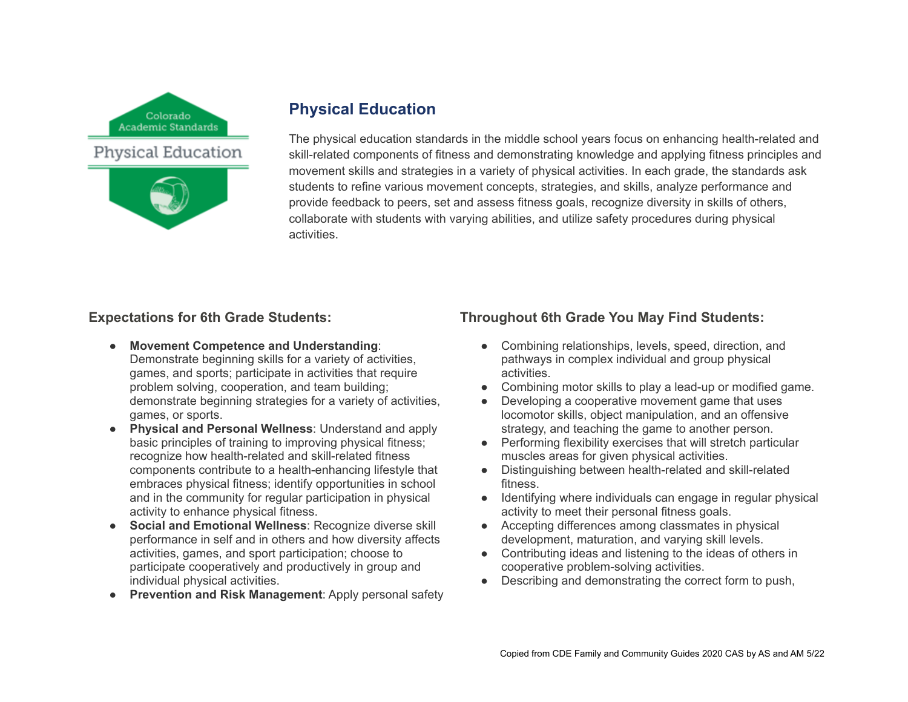

# **Physical Education**

The physical education standards in the middle school years focus on enhancing health-related and skill-related components of fitness and demonstrating knowledge and applying fitness principles and movement skills and strategies in a variety of physical activities. In each grade, the standards ask students to refine various movement concepts, strategies, and skills, analyze performance and provide feedback to peers, set and assess fitness goals, recognize diversity in skills of others, collaborate with students with varying abilities, and utilize safety procedures during physical activities.

# **Expectations for 6th Grade Students:**

- **Movement Competence and Understanding:** Demonstrate beginning skills for a variety of activities, games, and sports; participate in activities that require problem solving, cooperation, and team building; demonstrate beginning strategies for a variety of activities, games, or sports.
- **Physical and Personal Wellness**: Understand and apply basic principles of training to improving physical fitness; recognize how health-related and skill-related fitness components contribute to a health-enhancing lifestyle that embraces physical fitness; identify opportunities in school and in the community for regular participation in physical activity to enhance physical fitness.
- **Social and Emotional Wellness**: Recognize diverse skill performance in self and in others and how diversity affects activities, games, and sport participation; choose to participate cooperatively and productively in group and individual physical activities.
- **Prevention and Risk Management**: Apply personal safety

# **Throughout 6th Grade You May Find Students:**

- Combining relationships, levels, speed, direction, and pathways in complex individual and group physical activities.
- Combining motor skills to play a lead-up or modified game.
- Developing a cooperative movement game that uses locomotor skills, object manipulation, and an offensive strategy, and teaching the game to another person.
- Performing flexibility exercises that will stretch particular muscles areas for given physical activities.
- Distinguishing between health-related and skill-related fitness.
- Identifying where individuals can engage in regular physical activity to meet their personal fitness goals.
- Accepting differences among classmates in physical development, maturation, and varying skill levels.
- Contributing ideas and listening to the ideas of others in cooperative problem-solving activities.
- Describing and demonstrating the correct form to push,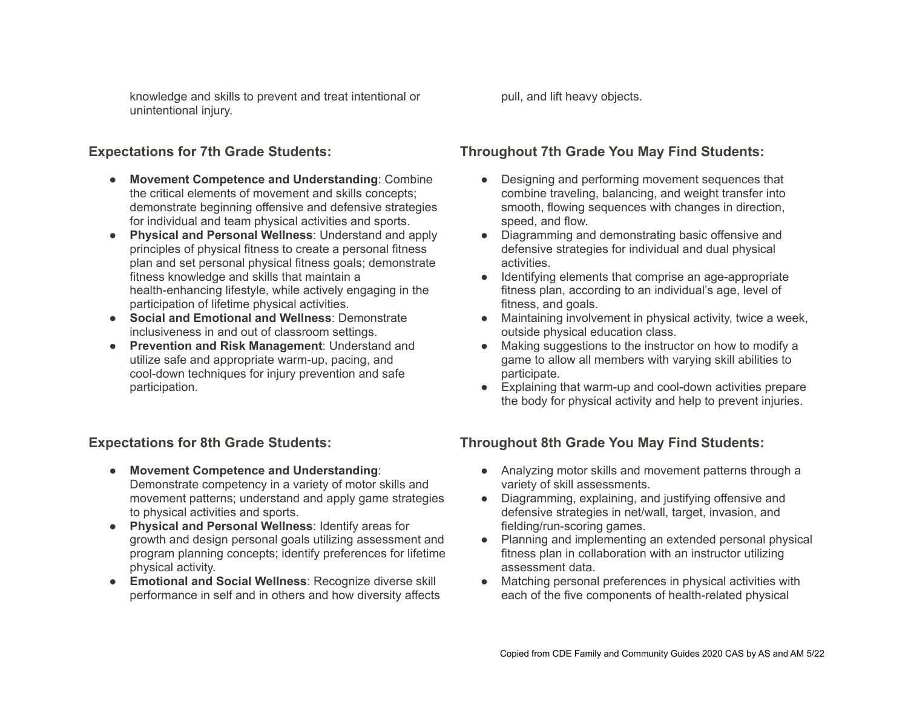knowledge and skills to prevent and treat intentional or unintentional injury.

#### **Expectations for 7th Grade Students:**

- **Movement Competence and Understanding**: Combine the critical elements of movement and skills concepts; demonstrate beginning offensive and defensive strategies for individual and team physical activities and sports.
- **Physical and Personal Wellness**: Understand and apply principles of physical fitness to create a personal fitness plan and set personal physical fitness goals; demonstrate fitness knowledge and skills that maintain a health-enhancing lifestyle, while actively engaging in the participation of lifetime physical activities.
- **Social and Emotional and Wellness**: Demonstrate inclusiveness in and out of classroom settings.
- **Prevention and Risk Management**: Understand and utilize safe and appropriate warm-up, pacing, and cool-down techniques for injury prevention and safe participation.

# **Expectations for 8th Grade Students:**

- **Movement Competence and Understanding**: Demonstrate competency in a variety of motor skills and movement patterns; understand and apply game strategies to physical activities and sports.
- **Physical and Personal Wellness**: Identify areas for growth and design personal goals utilizing assessment and program planning concepts; identify preferences for lifetime physical activity.
- **Emotional and Social Wellness**: Recognize diverse skill performance in self and in others and how diversity affects

pull, and lift heavy objects.

# **Throughout 7th Grade You May Find Students:**

- Designing and performing movement sequences that combine traveling, balancing, and weight transfer into smooth, flowing sequences with changes in direction, speed, and flow.
- Diagramming and demonstrating basic offensive and defensive strategies for individual and dual physical activities.
- Identifying elements that comprise an age-appropriate fitness plan, according to an individual's age, level of fitness, and goals.
- Maintaining involvement in physical activity, twice a week, outside physical education class.
- Making suggestions to the instructor on how to modify a game to allow all members with varying skill abilities to participate.
- Explaining that warm-up and cool-down activities prepare the body for physical activity and help to prevent injuries.

# **Throughout 8th Grade You May Find Students:**

- Analyzing motor skills and movement patterns through a variety of skill assessments.
- Diagramming, explaining, and justifying offensive and defensive strategies in net/wall, target, invasion, and fielding/run-scoring games.
- Planning and implementing an extended personal physical fitness plan in collaboration with an instructor utilizing assessment data.
- Matching personal preferences in physical activities with each of the five components of health-related physical